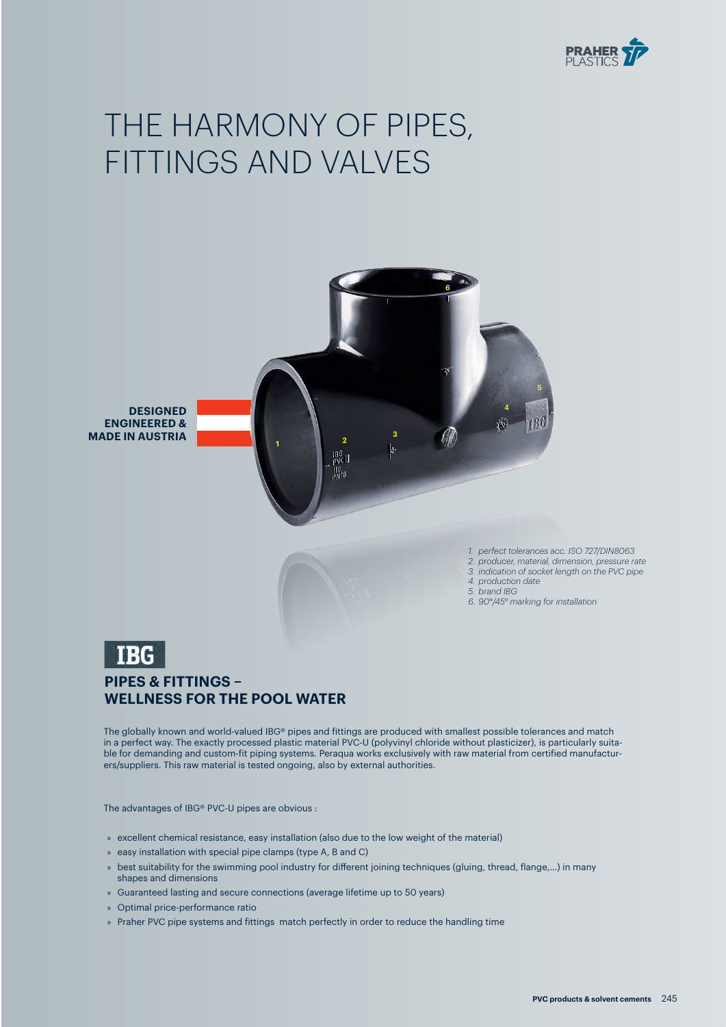

# THE HARMONY OF PIPES, FITTINGS AND VALVES



*1. perfect tolerances acc. ISO 727/DIN8063*

- *2. producer, material, dimension, pressure rate 3. indication of socket length on the PVC pipe*
- *4. production date*
- *5. brand IBG*
- *6. 90°/45° marking for installation*



## **PIPES & FITTINGS – WELLNESS FOR THE POOL WATER**

The globally known and world-valued IBG® pipes and fittings are produced with smallest possible tolerances and match in a perfect way. The exactly processed plastic material PVC-U (polyvinyl chloride without plasticizer), is particularly suitable for demanding and custom-fit piping systems. Peraqua works exclusively with raw material from certified manufacturers/suppliers. This raw material is tested ongoing, also by external authorities.

The advantages of IBG® PVC-U pipes are obvious :

- » excellent chemical resistance, easy installation (also due to the low weight of the material)
- » easy installation with special pipe clamps (type A, B and C)
- » best suitability for the swimming pool industry for different joining techniques (gluing, thread, flange,…) in many shapes and dimensions
- » Guaranteed lasting and secure connections (average lifetime up to 50 years)
- » Optimal price-performance ratio
- » Praher PVC pipe systems and fittings match perfectly in order to reduce the handling time